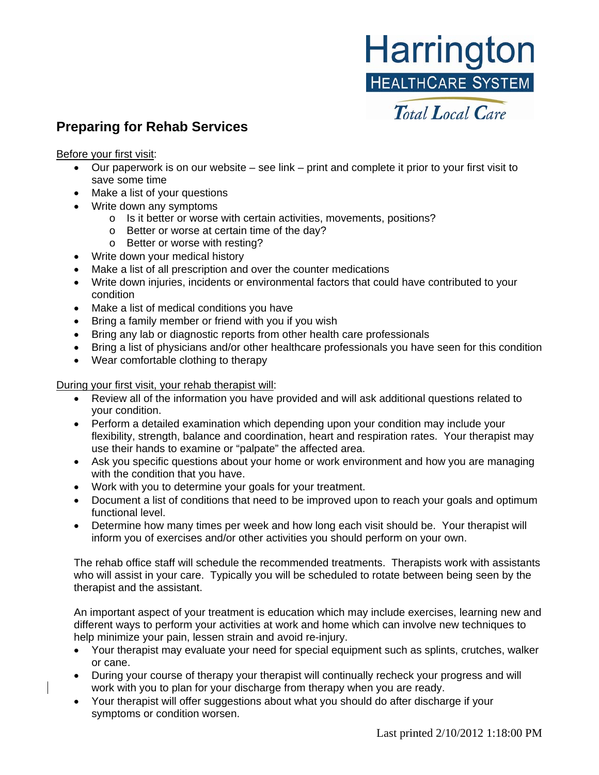## Harrington **HEALTHCARE SYSTEM**

## **Preparing for Rehab Services** *Total Local Care*

Before your first visit:

- Our paperwork is on our website see link print and complete it prior to your first visit to save some time
- Make a list of your questions
- Write down any symptoms
	- o Is it better or worse with certain activities, movements, positions?
	- o Better or worse at certain time of the day?
	- o Better or worse with resting?
- Write down your medical history
- Make a list of all prescription and over the counter medications
- Write down injuries, incidents or environmental factors that could have contributed to your condition
- Make a list of medical conditions you have
- Bring a family member or friend with you if you wish
- Bring any lab or diagnostic reports from other health care professionals
- Bring a list of physicians and/or other healthcare professionals you have seen for this condition
- Wear comfortable clothing to therapy

During your first visit, your rehab therapist will:

- Review all of the information you have provided and will ask additional questions related to your condition.
- Perform a detailed examination which depending upon your condition may include your flexibility, strength, balance and coordination, heart and respiration rates. Your therapist may use their hands to examine or "palpate" the affected area.
- Ask you specific questions about your home or work environment and how you are managing with the condition that you have.
- Work with you to determine your goals for your treatment.
- Document a list of conditions that need to be improved upon to reach your goals and optimum functional level.
- Determine how many times per week and how long each visit should be. Your therapist will inform you of exercises and/or other activities you should perform on your own.

The rehab office staff will schedule the recommended treatments. Therapists work with assistants who will assist in your care. Typically you will be scheduled to rotate between being seen by the therapist and the assistant.

An important aspect of your treatment is education which may include exercises, learning new and different ways to perform your activities at work and home which can involve new techniques to help minimize your pain, lessen strain and avoid re-injury.

- Your therapist may evaluate your need for special equipment such as splints, crutches, walker or cane.
- During your course of therapy your therapist will continually recheck your progress and will work with you to plan for your discharge from therapy when you are ready.
- Your therapist will offer suggestions about what you should do after discharge if your symptoms or condition worsen.